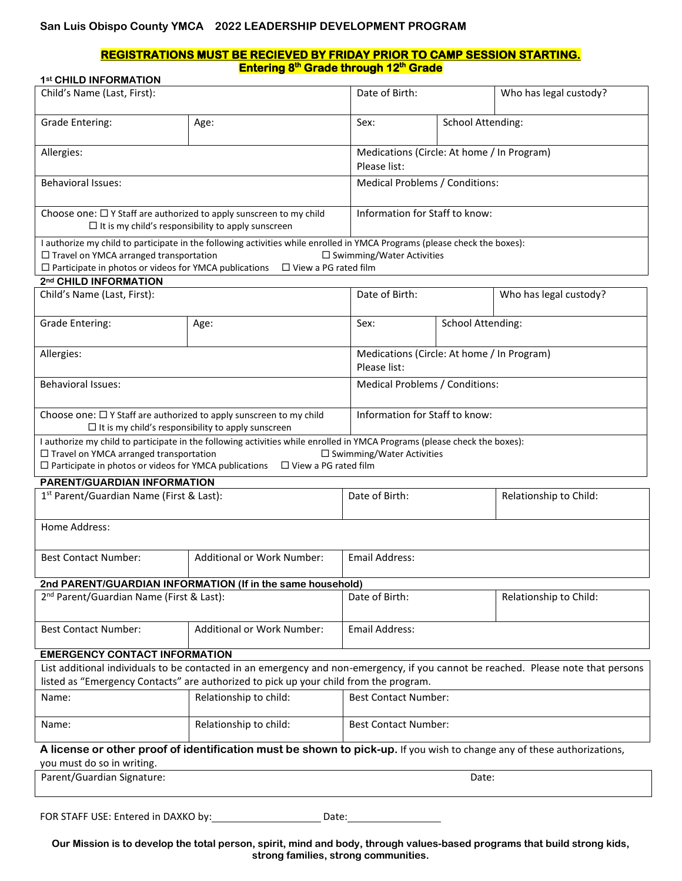# **San Luis Obispo County YMCA 2022 LEADERSHIP DEVELOPMENT PROGRAM**

#### **REGISTRATIONS MUST BE RECIEVED BY FRIDAY PRIOR TO CAMP SESSION STARTING. Entering 8 th Grade through 12 th Grade 1st CHILD INFORMATION**

| <b>I<sup>SE</sup> UNILD INFURNIATION</b><br>Child's Name (Last, First):                                  |                                                                                                                                   | Date of Birth:                                             |                                | Who has legal custody? |  |  |
|----------------------------------------------------------------------------------------------------------|-----------------------------------------------------------------------------------------------------------------------------------|------------------------------------------------------------|--------------------------------|------------------------|--|--|
| <b>Grade Entering:</b>                                                                                   | Age:                                                                                                                              | Sex:                                                       | <b>School Attending:</b>       |                        |  |  |
|                                                                                                          |                                                                                                                                   |                                                            |                                |                        |  |  |
| Allergies:                                                                                               |                                                                                                                                   | Medications (Circle: At home / In Program)<br>Please list: |                                |                        |  |  |
| <b>Behavioral Issues:</b>                                                                                |                                                                                                                                   | Medical Problems / Conditions:                             |                                |                        |  |  |
|                                                                                                          |                                                                                                                                   |                                                            |                                |                        |  |  |
| Choose one: $\Box$ Y Staff are authorized to apply sunscreen to my child                                 | $\Box$ It is my child's responsibility to apply sunscreen                                                                         |                                                            | Information for Staff to know: |                        |  |  |
|                                                                                                          | I authorize my child to participate in the following activities while enrolled in YMCA Programs (please check the boxes):         |                                                            |                                |                        |  |  |
| □ Travel on YMCA arranged transportation<br>$\Box$ Participate in photos or videos for YMCA publications | $\Box$ View a PG rated film                                                                                                       | $\Box$ Swimming/Water Activities                           |                                |                        |  |  |
| 2nd CHILD INFORMATION                                                                                    |                                                                                                                                   |                                                            |                                |                        |  |  |
| Child's Name (Last, First):                                                                              |                                                                                                                                   | Date of Birth:                                             |                                | Who has legal custody? |  |  |
|                                                                                                          |                                                                                                                                   |                                                            |                                |                        |  |  |
| <b>Grade Entering:</b>                                                                                   | Age:                                                                                                                              | Sex:                                                       | <b>School Attending:</b>       |                        |  |  |
| Allergies:                                                                                               |                                                                                                                                   | Medications (Circle: At home / In Program)                 |                                |                        |  |  |
|                                                                                                          |                                                                                                                                   | Please list:                                               |                                |                        |  |  |
| <b>Behavioral Issues:</b>                                                                                |                                                                                                                                   | Medical Problems / Conditions:                             |                                |                        |  |  |
|                                                                                                          |                                                                                                                                   |                                                            |                                |                        |  |  |
| Choose one: $\Box$ Y Staff are authorized to apply sunscreen to my child                                 |                                                                                                                                   | Information for Staff to know:                             |                                |                        |  |  |
|                                                                                                          | $\Box$ It is my child's responsibility to apply sunscreen                                                                         |                                                            |                                |                        |  |  |
|                                                                                                          | I authorize my child to participate in the following activities while enrolled in YMCA Programs (please check the boxes):         |                                                            |                                |                        |  |  |
| □ Travel on YMCA arranged transportation<br>$\Box$ Participate in photos or videos for YMCA publications | $\Box$ View a PG rated film                                                                                                       | $\square$ Swimming/Water Activities                        |                                |                        |  |  |
| PARENT/GUARDIAN INFORMATION                                                                              |                                                                                                                                   |                                                            |                                |                        |  |  |
| 1 <sup>st</sup> Parent/Guardian Name (First & Last):                                                     |                                                                                                                                   | Date of Birth:                                             |                                | Relationship to Child: |  |  |
|                                                                                                          |                                                                                                                                   |                                                            |                                |                        |  |  |
| Home Address:                                                                                            |                                                                                                                                   |                                                            |                                |                        |  |  |
|                                                                                                          |                                                                                                                                   |                                                            |                                |                        |  |  |
| <b>Best Contact Number:</b>                                                                              | <b>Additional or Work Number:</b>                                                                                                 | Email Address:                                             |                                |                        |  |  |
|                                                                                                          |                                                                                                                                   |                                                            |                                |                        |  |  |
|                                                                                                          | 2nd PARENT/GUARDIAN INFORMATION (If in the same household)                                                                        |                                                            |                                |                        |  |  |
| 2 <sup>nd</sup> Parent/Guardian Name (First & Last):                                                     |                                                                                                                                   | Date of Birth:                                             |                                | Relationship to Child: |  |  |
|                                                                                                          |                                                                                                                                   |                                                            |                                |                        |  |  |
| <b>Best Contact Number:</b>                                                                              | Additional or Work Number:                                                                                                        | Email Address:                                             |                                |                        |  |  |
| <b>EMERGENCY CONTACT INFORMATION</b>                                                                     |                                                                                                                                   |                                                            |                                |                        |  |  |
|                                                                                                          | List additional individuals to be contacted in an emergency and non-emergency, if you cannot be reached. Please note that persons |                                                            |                                |                        |  |  |
|                                                                                                          | listed as "Emergency Contacts" are authorized to pick up your child from the program.                                             |                                                            |                                |                        |  |  |
| Name:                                                                                                    | Relationship to child:                                                                                                            | <b>Best Contact Number:</b>                                |                                |                        |  |  |
| Name:                                                                                                    | Relationship to child:                                                                                                            | <b>Best Contact Number:</b>                                |                                |                        |  |  |
|                                                                                                          | A license or other proof of identification must be shown to pick-up. If you wish to change any of these authorizations,           |                                                            |                                |                        |  |  |
| you must do so in writing.                                                                               |                                                                                                                                   |                                                            |                                |                        |  |  |
| Parent/Guardian Signature:                                                                               |                                                                                                                                   |                                                            | Date:                          |                        |  |  |
|                                                                                                          |                                                                                                                                   |                                                            |                                |                        |  |  |
| FOR STAFF USE: Entered in DAXKO by:<br>Date:                                                             |                                                                                                                                   |                                                            |                                |                        |  |  |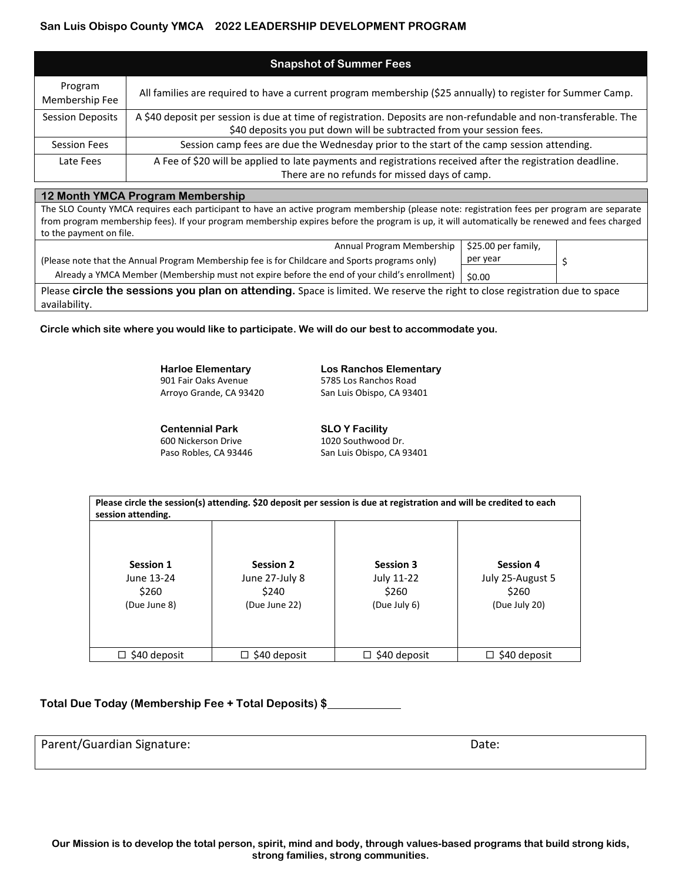# **San Luis Obispo County YMCA 2022 LEADERSHIP DEVELOPMENT PROGRAM**

| <b>Snapshot of Summer Fees</b> |                                                                                                                  |  |  |  |
|--------------------------------|------------------------------------------------------------------------------------------------------------------|--|--|--|
| Program<br>Membership Fee      | All families are required to have a current program membership (\$25 annually) to register for Summer Camp.      |  |  |  |
| <b>Session Deposits</b>        | A \$40 deposit per session is due at time of registration. Deposits are non-refundable and non-transferable. The |  |  |  |
|                                | \$40 deposits you put down will be subtracted from your session fees.                                            |  |  |  |
| <b>Session Fees</b>            | Session camp fees are due the Wednesday prior to the start of the camp session attending.                        |  |  |  |
| Late Fees                      | A Fee of \$20 will be applied to late payments and registrations received after the registration deadline.       |  |  |  |
|                                | There are no refunds for missed days of camp.                                                                    |  |  |  |

## **12 Month YMCA Program Membership**

The SLO County YMCA requires each participant to have an active program membership (please note: registration fees per program are separate from program membership fees). If your program membership expires before the program is up, it will automatically be renewed and fees charged to the payment on file.

| Annual Program Membership   \$25.00 per family,                                                                             |          |  |  |  |
|-----------------------------------------------------------------------------------------------------------------------------|----------|--|--|--|
| (Please note that the Annual Program Membership fee is for Childcare and Sports programs only)                              | per year |  |  |  |
| Already a YMCA Member (Membership must not expire before the end of your child's enrollment)                                | \$0.00   |  |  |  |
| Please circle the sessions you plan on attending. Space is limited. We reserve the right to close registration due to space |          |  |  |  |

availability.

**Circle which site where you would like to participate. We will do our best to accommodate you.**

**Harloe Elementary Los Ranchos Elementary** 901 Fair Oaks Avenue 5785 Los Ranchos Road

**Centennial Park SLO Y Facility** 600 Nickerson Drive 1020 Southwood Dr. Paso Robles, CA 93446 San Luis Obispo, CA 93401

Arroyo Grande, CA 93420 San Luis Obispo, CA 93401

| session attending.                                      | Please circle the session(s) attending. \$20 deposit per session is due at registration and will be credited to each |                                                         |                                                                |
|---------------------------------------------------------|----------------------------------------------------------------------------------------------------------------------|---------------------------------------------------------|----------------------------------------------------------------|
| <b>Session 1</b><br>June 13-24<br>\$260<br>(Due June 8) | <b>Session 2</b><br>June 27-July 8<br>\$240<br>(Due June 22)                                                         | <b>Session 3</b><br>July 11-22<br>\$260<br>(Due July 6) | <b>Session 4</b><br>July 25-August 5<br>\$260<br>(Due July 20) |
|                                                         |                                                                                                                      |                                                         |                                                                |
| \$40 deposit<br>□                                       | $\Box$ \$40 deposit                                                                                                  | \$40 deposit<br>◻                                       | \$40 deposit                                                   |

**Total Due Today (Membership Fee + Total Deposits) \$**

Parent/Guardian Signature: Date: Date: Date: Date: Date: Date: Date: Date: Date: Date: Date: Date: Date: Date: Date: Date: Date: Date: Date: Date: Date: Date: Date: Date: Date: Date: Date: Date: Date: Date: Date: Date: Dat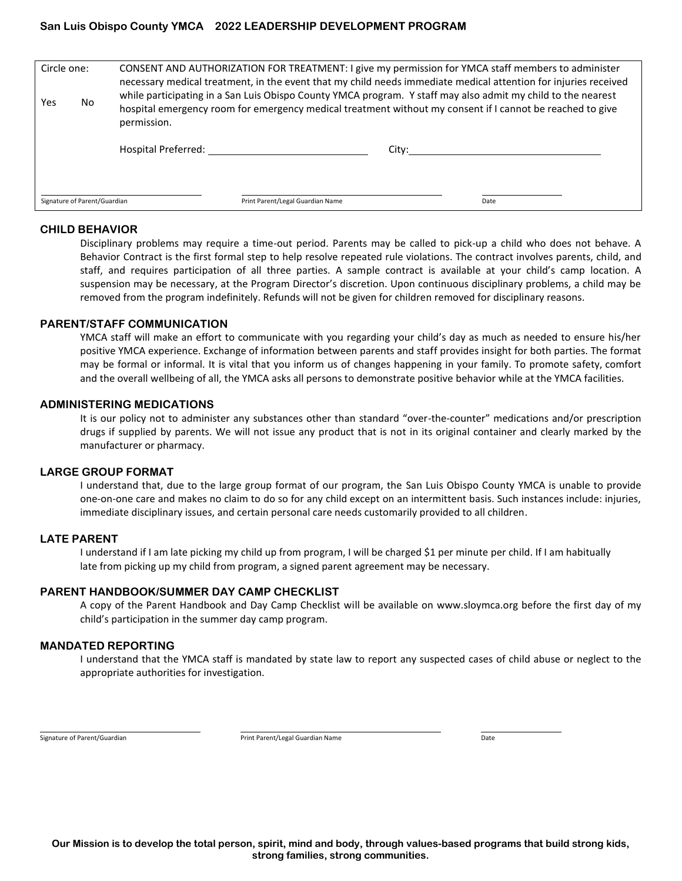# **San Luis Obispo County YMCA 2022 LEADERSHIP DEVELOPMENT PROGRAM**

| Signature of Parent/Guardian |                                                                                                    | Print Parent/Legal Guardian Name | Date                                                                                                                                                                                                                                                                                                                                                  |  |
|------------------------------|----------------------------------------------------------------------------------------------------|----------------------------------|-------------------------------------------------------------------------------------------------------------------------------------------------------------------------------------------------------------------------------------------------------------------------------------------------------------------------------------------------------|--|
| No.<br>Yes                   | permission.                                                                                        |                                  | necessary medical treatment, in the event that my child needs immediate medical attention for injuries received<br>while participating in a San Luis Obispo County YMCA program. Y staff may also admit my child to the nearest<br>hospital emergency room for emergency medical treatment without my consent if I cannot be reached to give<br>City: |  |
| Circle one:                  | CONSENT AND AUTHORIZATION FOR TREATMENT: I give my permission for YMCA staff members to administer |                                  |                                                                                                                                                                                                                                                                                                                                                       |  |

## **CHILD BEHAVIOR**

Disciplinary problems may require a time-out period. Parents may be called to pick-up a child who does not behave. A Behavior Contract is the first formal step to help resolve repeated rule violations. The contract involves parents, child, and staff, and requires participation of all three parties. A sample contract is available at your child's camp location. A suspension may be necessary, at the Program Director's discretion. Upon continuous disciplinary problems, a child may be removed from the program indefinitely. Refunds will not be given for children removed for disciplinary reasons.

## **PARENT/STAFF COMMUNICATION**

YMCA staff will make an effort to communicate with you regarding your child's day as much as needed to ensure his/her positive YMCA experience. Exchange of information between parents and staff provides insight for both parties. The format may be formal or informal. It is vital that you inform us of changes happening in your family. To promote safety, comfort and the overall wellbeing of all, the YMCA asks all persons to demonstrate positive behavior while at the YMCA facilities.

## **ADMINISTERING MEDICATIONS**

It is our policy not to administer any substances other than standard "over-the-counter" medications and/or prescription drugs if supplied by parents. We will not issue any product that is not in its original container and clearly marked by the manufacturer or pharmacy.

#### **LARGE GROUP FORMAT**

I understand that, due to the large group format of our program, the San Luis Obispo County YMCA is unable to provide one-on-one care and makes no claim to do so for any child except on an intermittent basis. Such instances include: injuries, immediate disciplinary issues, and certain personal care needs customarily provided to all children.

## **LATE PARENT**

I understand if I am late picking my child up from program, I will be charged \$1 per minute per child. If I am habitually late from picking up my child from program, a signed parent agreement may be necessary.

#### **PARENT HANDBOOK/SUMMER DAY CAMP CHECKLIST**

A copy of the Parent Handbook and Day Camp Checklist will be available on www.sloymca.org before the first day of my child's participation in the summer day camp program.

## **MANDATED REPORTING**

I understand that the YMCA staff is mandated by state law to report any suspected cases of child abuse or neglect to the appropriate authorities for investigation.

Signature of Parent/Guardian and Date Communication Print Parent/Legal Guardian Name Date Date Date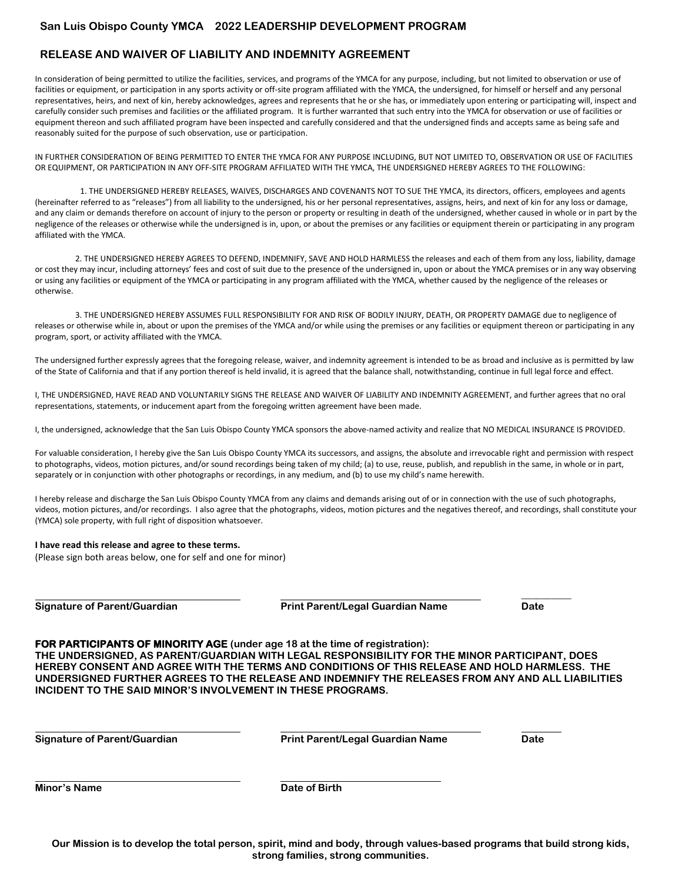# **RELEASE AND WAIVER OF LIABILITY AND INDEMNITY AGREEMENT**

In consideration of being permitted to utilize the facilities, services, and programs of the YMCA for any purpose, including, but not limited to observation or use of facilities or equipment, or participation in any sports activity or off-site program affiliated with the YMCA, the undersigned, for himself or herself and any personal representatives, heirs, and next of kin, hereby acknowledges, agrees and represents that he or she has, or immediately upon entering or participating will, inspect and carefully consider such premises and facilities or the affiliated program. It is further warranted that such entry into the YMCA for observation or use of facilities or equipment thereon and such affiliated program have been inspected and carefully considered and that the undersigned finds and accepts same as being safe and reasonably suited for the purpose of such observation, use or participation.

IN FURTHER CONSIDERATION OF BEING PERMITTED TO ENTER THE YMCA FOR ANY PURPOSE INCLUDING, BUT NOT LIMITED TO, OBSERVATION OR USE OF FACILITIES OR EQUIPMENT, OR PARTICIPATION IN ANY OFF-SITE PROGRAM AFFILIATED WITH THE YMCA, THE UNDERSIGNED HEREBY AGREES TO THE FOLLOWING:

1. THE UNDERSIGNED HEREBY RELEASES, WAIVES, DISCHARGES AND COVENANTS NOT TO SUE THE YMCA, its directors, officers, employees and agents (hereinafter referred to as "releases") from all liability to the undersigned, his or her personal representatives, assigns, heirs, and next of kin for any loss or damage, and any claim or demands therefore on account of injury to the person or property or resulting in death of the undersigned, whether caused in whole or in part by the negligence of the releases or otherwise while the undersigned is in, upon, or about the premises or any facilities or equipment therein or participating in any program affiliated with the YMCA.

2. THE UNDERSIGNED HEREBY AGREES TO DEFEND, INDEMNIFY, SAVE AND HOLD HARMLESS the releases and each of them from any loss, liability, damage or cost they may incur, including attorneys' fees and cost of suit due to the presence of the undersigned in, upon or about the YMCA premises or in any way observing or using any facilities or equipment of the YMCA or participating in any program affiliated with the YMCA, whether caused by the negligence of the releases or otherwise.

3. THE UNDERSIGNED HEREBY ASSUMES FULL RESPONSIBILITY FOR AND RISK OF BODILY INJURY, DEATH, OR PROPERTY DAMAGE due to negligence of releases or otherwise while in, about or upon the premises of the YMCA and/or while using the premises or any facilities or equipment thereon or participating in any program, sport, or activity affiliated with the YMCA.

The undersigned further expressly agrees that the foregoing release, waiver, and indemnity agreement is intended to be as broad and inclusive as is permitted by law of the State of California and that if any portion thereof is held invalid, it is agreed that the balance shall, notwithstanding, continue in full legal force and effect.

I, THE UNDERSIGNED, HAVE READ AND VOLUNTARILY SIGNS THE RELEASE AND WAIVER OF LIABILITY AND INDEMNITY AGREEMENT, and further agrees that no oral representations, statements, or inducement apart from the foregoing written agreement have been made.

I, the undersigned, acknowledge that the San Luis Obispo County YMCA sponsors the above-named activity and realize that NO MEDICAL INSURANCE IS PROVIDED.

For valuable consideration, I hereby give the San Luis Obispo County YMCA its successors, and assigns, the absolute and irrevocable right and permission with respect to photographs, videos, motion pictures, and/or sound recordings being taken of my child; (a) to use, reuse, publish, and republish in the same, in whole or in part, separately or in conjunction with other photographs or recordings, in any medium, and (b) to use my child's name herewith.

I hereby release and discharge the San Luis Obispo County YMCA from any claims and demands arising out of or in connection with the use of such photographs, videos, motion pictures, and/or recordings. I also agree that the photographs, videos, motion pictures and the negatives thereof, and recordings, shall constitute your (YMCA) sole property, with full right of disposition whatsoever.

#### **I have read this release and agree to these terms.**

(Please sign both areas below, one for self and one for minor)

**Signature of Parent/Guardian Print Parent/Legal Guardian Name Date**

**\_\_\_\_\_\_\_\_\_\_**

#### **FOR PARTICIPANTS OF MINORITY AGE (under age 18 at the time of registration):**

**THE UNDERSIGNED, AS PARENT/GUARDIAN WITH LEGAL RESPONSIBILITY FOR THE MINOR PARTICIPANT, DOES HEREBY CONSENT AND AGREE WITH THE TERMS AND CONDITIONS OF THIS RELEASE AND HOLD HARMLESS. THE UNDERSIGNED FURTHER AGREES TO THE RELEASE AND INDEMNIFY THE RELEASES FROM ANY AND ALL LIABILITIES INCIDENT TO THE SAID MINOR'S INVOLVEMENT IN THESE PROGRAMS.** 

**Signature of Parent/Guardian Print Parent/Legal Guardian Name Date**

**Minor's Name Date of Birth**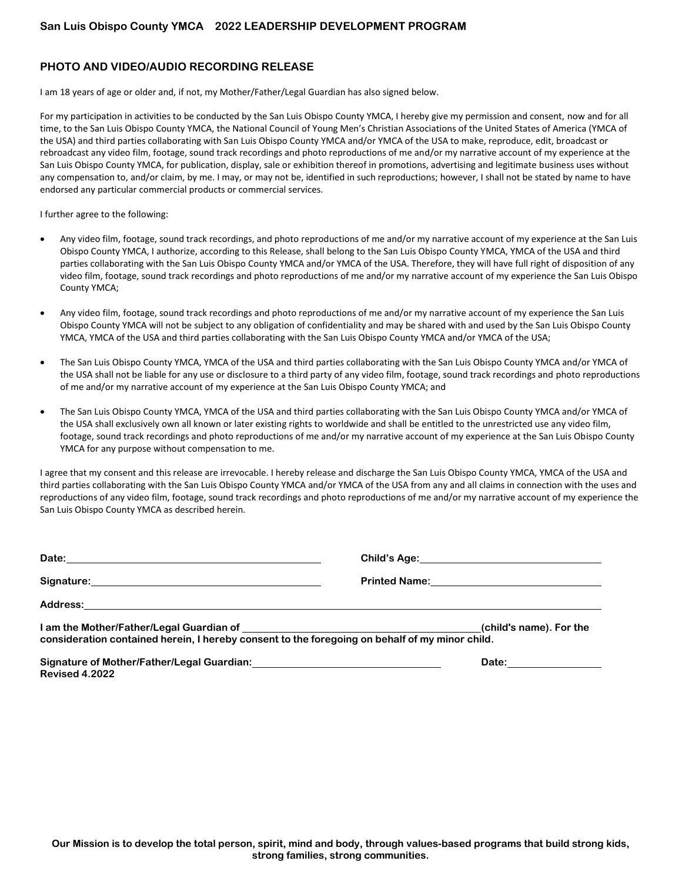# **PHOTO AND VIDEO/AUDIO RECORDING RELEASE**

I am 18 years of age or older and, if not, my Mother/Father/Legal Guardian has also signed below.

For my participation in activities to be conducted by the San Luis Obispo County YMCA, I hereby give my permission and consent, now and for all time, to the San Luis Obispo County YMCA, the National Council of Young Men's Christian Associations of the United States of America (YMCA of the USA) and third parties collaborating with San Luis Obispo County YMCA and/or YMCA of the USA to make, reproduce, edit, broadcast or rebroadcast any video film, footage, sound track recordings and photo reproductions of me and/or my narrative account of my experience at the San Luis Obispo County YMCA, for publication, display, sale or exhibition thereof in promotions, advertising and legitimate business uses without any compensation to, and/or claim, by me. I may, or may not be, identified in such reproductions; however, I shall not be stated by name to have endorsed any particular commercial products or commercial services.

I further agree to the following:

- Any video film, footage, sound track recordings, and photo reproductions of me and/or my narrative account of my experience at the San Luis Obispo County YMCA, I authorize, according to this Release, shall belong to the San Luis Obispo County YMCA, YMCA of the USA and third parties collaborating with the San Luis Obispo County YMCA and/or YMCA of the USA. Therefore, they will have full right of disposition of any video film, footage, sound track recordings and photo reproductions of me and/or my narrative account of my experience the San Luis Obispo County YMCA;
- Any video film, footage, sound track recordings and photo reproductions of me and/or my narrative account of my experience the San Luis Obispo County YMCA will not be subject to any obligation of confidentiality and may be shared with and used by the San Luis Obispo County YMCA, YMCA of the USA and third parties collaborating with the San Luis Obispo County YMCA and/or YMCA of the USA;
- The San Luis Obispo County YMCA, YMCA of the USA and third parties collaborating with the San Luis Obispo County YMCA and/or YMCA of the USA shall not be liable for any use or disclosure to a third party of any video film, footage, sound track recordings and photo reproductions of me and/or my narrative account of my experience at the San Luis Obispo County YMCA; and
- The San Luis Obispo County YMCA, YMCA of the USA and third parties collaborating with the San Luis Obispo County YMCA and/or YMCA of the USA shall exclusively own all known or later existing rights to worldwide and shall be entitled to the unrestricted use any video film, footage, sound track recordings and photo reproductions of me and/or my narrative account of my experience at the San Luis Obispo County YMCA for any purpose without compensation to me.

I agree that my consent and this release are irrevocable. I hereby release and discharge the San Luis Obispo County YMCA, YMCA of the USA and third parties collaborating with the San Luis Obispo County YMCA and/or YMCA of the USA from any and all claims in connection with the uses and reproductions of any video film, footage, sound track recordings and photo reproductions of me and/or my narrative account of my experience the San Luis Obispo County YMCA as described herein.

| consideration contained herein, I hereby consent to the foregoing on behalf of my minor child. | (child's name). For the |
|------------------------------------------------------------------------------------------------|-------------------------|
| Revised 4.2022                                                                                 | Date: <u>_________</u>  |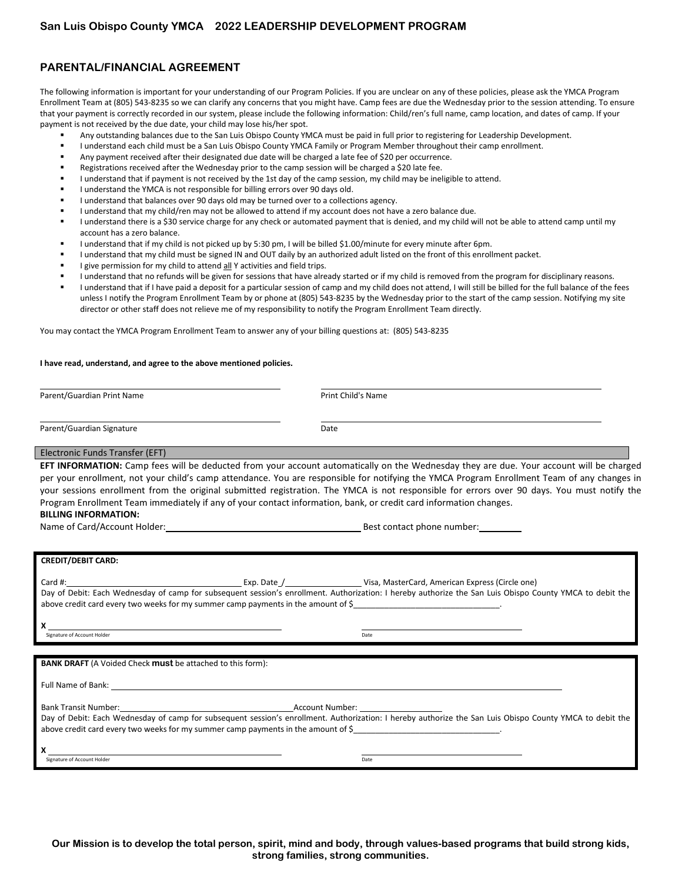# **PARENTAL/FINANCIAL AGREEMENT**

The following information is important for your understanding of our Program Policies. If you are unclear on any of these policies, please ask the YMCA Program Enrollment Team at (805) 543-8235 so we can clarify any concerns that you might have. Camp fees are due the Wednesday prior to the session attending. To ensure that your payment is correctly recorded in our system, please include the following information: Child/ren's full name, camp location, and dates of camp. If your payment is not received by the due date, your child may lose his/her spot.

- Any outstanding balances due to the San Luis Obispo County YMCA must be paid in full prior to registering for Leadership Development.
- **I understand each child must be a San Luis Obispo County YMCA Family or Program Member throughout their camp enrollment.**
- Any payment received after their designated due date will be charged a late fee of \$20 per occurrence.
- Registrations received after the Wednesday prior to the camp session will be charged a \$20 late fee.
- I understand that if payment is not received by the 1st day of the camp session, my child may be ineligible to attend.
- I understand the YMCA is not responsible for billing errors over 90 days old.
- I understand that balances over 90 days old may be turned over to a collections agency.
- I understand that my child/ren may not be allowed to attend if my account does not have a zero balance due.
- I understand there is a \$30 service charge for any check or automated payment that is denied, and my child will not be able to attend camp until my account has a zero balance.
- I understand that if my child is not picked up by 5:30 pm, I will be billed \$1.00/minute for every minute after 6pm.
- I understand that my child must be signed IN and OUT daily by an authorized adult listed on the front of this enrollment packet.
- I give permission for my child to attend all Y activities and field trips.
- I understand that no refunds will be given for sessions that have already started or if my child is removed from the program for disciplinary reasons.
- I understand that if I have paid a deposit for a particular session of camp and my child does not attend, I will still be billed for the full balance of the fees unless I notify the Program Enrollment Team by or phone at (805) 543-8235 by the Wednesday prior to the start of the camp session. Notifying my site director or other staff does not relieve me of my responsibility to notify the Program Enrollment Team directly.

You may contact the YMCA Program Enrollment Team to answer any of your billing questions at: (805) 543-8235

#### **I have read, understand, and agree to the above mentioned policies.**

Parent/Guardian Print Name **Print Child's Name** Print Child's Name

```
Parent/Guardian Signature data and the Date of Date
```
#### Electronic Funds Transfer (EFT)

**EFT INFORMATION:** Camp fees will be deducted from your account automatically on the Wednesday they are due. Your account will be charged per your enrollment, not your child's camp attendance. You are responsible for notifying the YMCA Program Enrollment Team of any changes in your sessions enrollment from the original submitted registration. The YMCA is not responsible for errors over 90 days. You must notify the Program Enrollment Team immediately if any of your contact information, bank, or credit card information changes.

# **BILLING INFORMATION:**

Name of Card/Account Holder: Best contact phone number:

| <b>CREDIT/DEBIT CARD:</b>                                                                                                                                                                                                      |                                                                                                                                                                                                                                |
|--------------------------------------------------------------------------------------------------------------------------------------------------------------------------------------------------------------------------------|--------------------------------------------------------------------------------------------------------------------------------------------------------------------------------------------------------------------------------|
|                                                                                                                                                                                                                                |                                                                                                                                                                                                                                |
|                                                                                                                                                                                                                                |                                                                                                                                                                                                                                |
|                                                                                                                                                                                                                                | Day of Debit: Each Wednesday of camp for subsequent session's enrollment. Authorization: I hereby authorize the San Luis Obispo County YMCA to debit the                                                                       |
| above credit card every two weeks for my summer camp payments in the amount of \$                                                                                                                                              |                                                                                                                                                                                                                                |
|                                                                                                                                                                                                                                |                                                                                                                                                                                                                                |
|                                                                                                                                                                                                                                |                                                                                                                                                                                                                                |
| Signature of Account Holder                                                                                                                                                                                                    | Date                                                                                                                                                                                                                           |
|                                                                                                                                                                                                                                |                                                                                                                                                                                                                                |
| <b>BANK DRAFT</b> (A Voided Check <b>must</b> be attached to this form):                                                                                                                                                       |                                                                                                                                                                                                                                |
|                                                                                                                                                                                                                                |                                                                                                                                                                                                                                |
| Full Name of Bank: The Same of Bank of the Same of Bank of the Same of Bank of the Same of Bank of the Same of                                                                                                                 |                                                                                                                                                                                                                                |
|                                                                                                                                                                                                                                |                                                                                                                                                                                                                                |
| Bank Transit Number: The Communication of the Communication of the Communication of the Communication of the Communication of the Communication of the Communication of the Communication of the Communication of the Communic | Account Number: The Country of the Country of the Country of the Country of the Country of the Country of the Country of the Country of the Country of the Country of the Country of the Country of the Country of the Country |
|                                                                                                                                                                                                                                | Day of Debit: Each Wednesday of camp for subsequent session's enrollment. Authorization: I hereby authorize the San Luis Obispo County YMCA to debit the                                                                       |

above credit card every two weeks for my summer camp payments in the amount of \$

**X**<br> **X** Signature of Account Holder Date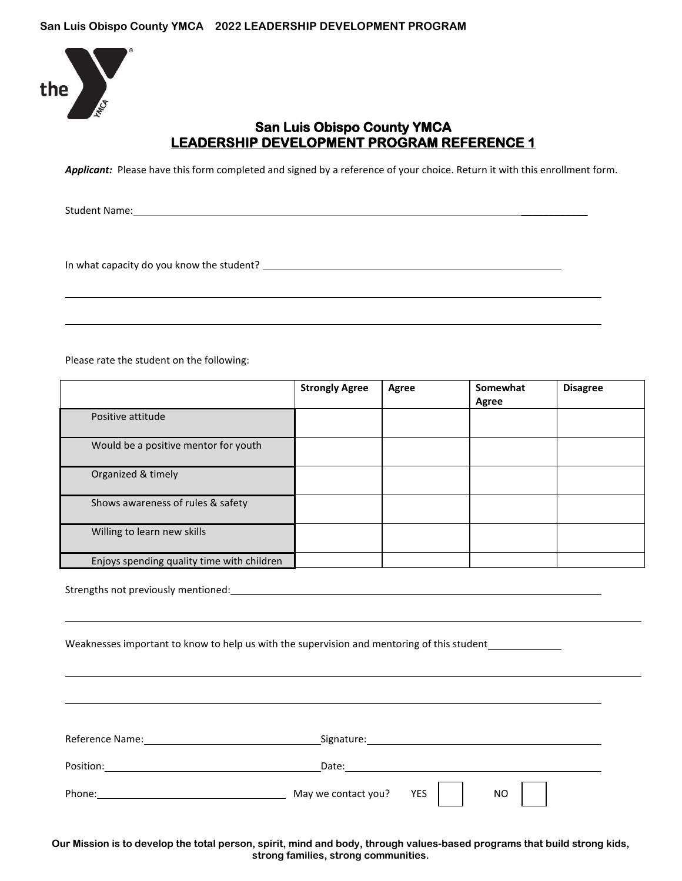

# **San Luis Obispo County YMCA LEADERSHIP DEVELOPMENT PROGRAM REFERENCE 1**

Applicant: Please have this form completed and signed by a reference of your choice. Return it with this enrollment form.

Student Name:

In what capacity do you know the student?

Please rate the student on the following:

|                                            | <b>Strongly Agree</b> | Agree | Somewhat<br>Agree | <b>Disagree</b> |
|--------------------------------------------|-----------------------|-------|-------------------|-----------------|
| Positive attitude                          |                       |       |                   |                 |
| Would be a positive mentor for youth       |                       |       |                   |                 |
| Organized & timely                         |                       |       |                   |                 |
| Shows awareness of rules & safety          |                       |       |                   |                 |
| Willing to learn new skills                |                       |       |                   |                 |
| Enjoys spending quality time with children |                       |       |                   |                 |

Strengths not previously mentioned: Let us a strengths not previously mentioned:

Weaknesses important to know to help us with the supervision and mentoring of this student

Reference Name: Name: Signature: Signature: Signature: Signature: Signature: Signature: Signature: Signature: Signature: Signature: Signature: Signature: Signature: Signature: Signature: Signature: Signature: Signature: Si Position: Date: Date: Date: Date: Date: Date: Date: Date: Date: Date: Date: Date: Date: Date: Date: Date: Date: Date: Date: Date: Date: Date: Date: Date: Date: Date: Date: Date: Date: Date: Date: Date: Date: Date: Date: Da Phone: May we contact you? YES NO